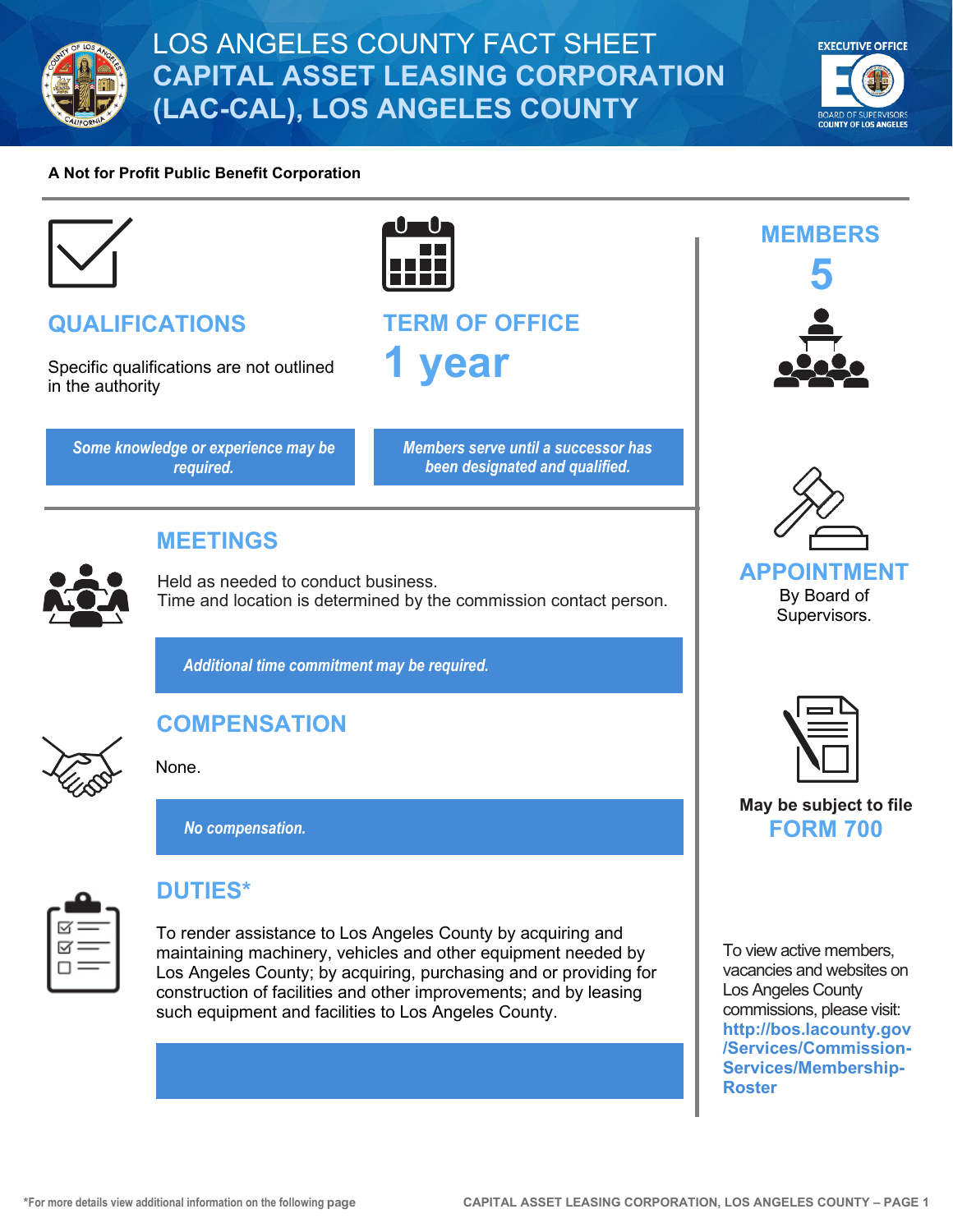

# **EXECUTIVE OFFICE COUNTY OF LOS ANGELE**

#### **A Not for Profit Public Benefit Corporation**



## **QUALIFICATIONS**

Specific qualifications are not outlined in the authority

*Some knowledge or experience may be required.*



**TERM OF OFFICE 1 year**

> *Members serve until a successor has been designated and qualified.*

## **MEETINGS**

Held as needed to conduct business. Time and location is determined by the commission contact person.

*Additional time commitment may be required.*



### None.

*No compensation.*

**COMPENSATION**



## **DUTIES\***

To render assistance to Los Angeles County by acquiring and maintaining machinery, vehicles and other equipment needed by Los Angeles County; by acquiring, purchasing and or providing for construction of facilities and other improvements; and by leasing such equipment and facilities to Los Angeles County.





**APPOINTMENT** By Board of Supervisors.



**May be subject to file FORM 700**

To view active members, vacancies and websites on Los Angeles County commissions, please visit: **[http://bos.lacounty.gov](http://bos.lacounty.gov/Services/Commission-Services/Membership-Roster) [/Services/Commission-](http://bos.lacounty.gov/Services/Commission-Services/Membership-Roster)[Services/Membership-](http://bos.lacounty.gov/Services/Commission-Services/Membership-Roster)[Roster](http://bos.lacounty.gov/Services/Commission-Services/Membership-Roster)**